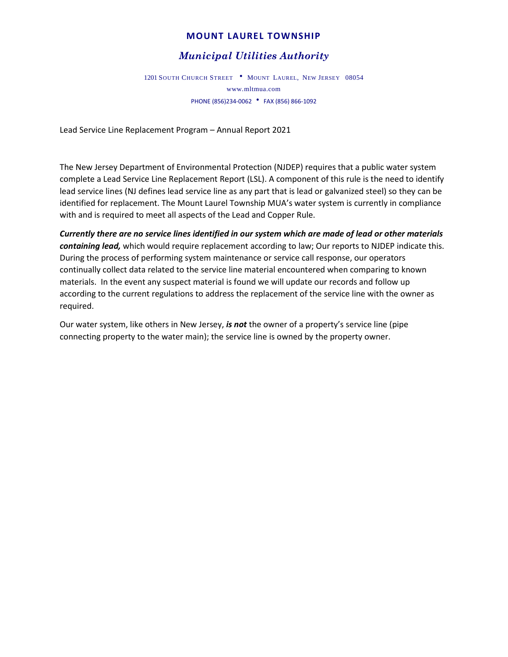## **MOUNT LAUREL TOWNSHIP**

# *Municipal Utilities Authority*

1201 SOUTH CHURCH STREET . MOUNT LAUREL, NEW JERSEY 08054 www.mltmua.com PHONE (856)234-0062 FAX (856) 866-1092

Lead Service Line Replacement Program – Annual Report 2021

The New Jersey Department of Environmental Protection (NJDEP) requires that a public water system complete a Lead Service Line Replacement Report (LSL). A component of this rule is the need to identify lead service lines (NJ defines lead service line as any part that is lead or galvanized steel) so they can be identified for replacement. The Mount Laurel Township MUA's water system is currently in compliance with and is required to meet all aspects of the Lead and Copper Rule.

*Currently there are no service lines identified in our system which are made of lead or other materials containing lead,* which would require replacement according to law; Our reports to NJDEP indicate this. During the process of performing system maintenance or service call response, our operators continually collect data related to the service line material encountered when comparing to known materials. In the event any suspect material is found we will update our records and follow up according to the current regulations to address the replacement of the service line with the owner as required.

Our water system, like others in New Jersey, *is not* the owner of a property's service line (pipe connecting property to the water main); the service line is owned by the property owner.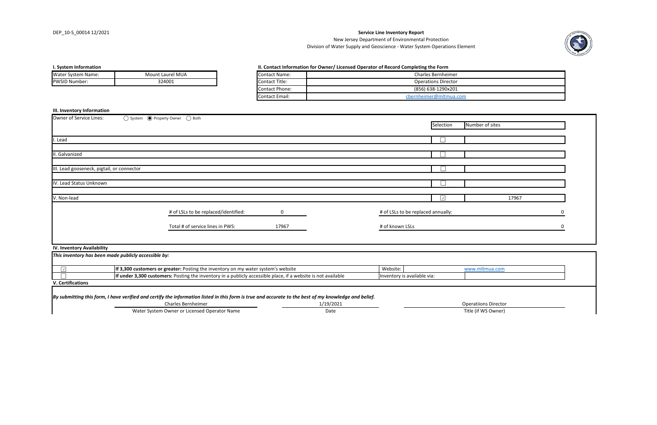| Owner of Service Lines:                    | ○ System ● Property Owner ○ Both     |             |                                    |           |                 |  |
|--------------------------------------------|--------------------------------------|-------------|------------------------------------|-----------|-----------------|--|
|                                            |                                      |             |                                    | Selection | Number of sites |  |
|                                            |                                      |             |                                    |           |                 |  |
| I. Lead                                    |                                      |             |                                    |           |                 |  |
|                                            |                                      |             |                                    |           |                 |  |
| II. Galvanized                             |                                      |             |                                    |           |                 |  |
| III. Lead gooseneck, pigtail, or connector |                                      |             |                                    |           |                 |  |
|                                            |                                      |             |                                    |           |                 |  |
| IV. Lead Status Unknown                    |                                      |             |                                    |           |                 |  |
|                                            |                                      |             |                                    |           |                 |  |
| V. Non-lead                                |                                      |             |                                    | $ \vee $  | 17967           |  |
|                                            | # of LSLs to be replaced/identified: | $\mathbf 0$ | # of LSLs to be replaced annually: |           |                 |  |
|                                            | Total # of service lines in PWS:     | 17967       | # of known LSLs                    |           |                 |  |
|                                            |                                      |             |                                    |           |                 |  |
|                                            |                                      |             |                                    |           |                 |  |

#### **III. Inventory Information**

#### **IV. Inventory Availability**

| <b>Water System Name:</b> | <b>Mount Laurel MUA</b> | Contact Name:  |
|---------------------------|-------------------------|----------------|
| <b>PWSID Number:</b>      | 324001                  | Contact Title: |

## **I. System Information II. Contact Information for Owner/ Licensed Operator of Record Completing the Formation for Owner/ Licensed Operator of Record Completing the Formation for Owner/ Licensed Operator of Record Comple**

**V. Certifications**

*By submitting this form, I have verified and certify the information listed in this form is true and accurate to the best of my knowledge and belief.*

Charles Bernheimer 1/19/2021

Water System Owner or Licensed Operator Name **Name Contains the Contains Contains Contains Contains Contains Contains Contains Contains Contains Contains Contains (if WS Owner)** 



| orm        |  |
|------------|--|
| nheimer    |  |
| Director   |  |
| 290x201    |  |
| mltmua.com |  |
|            |  |

| www.mltmua.com              |  |
|-----------------------------|--|
|                             |  |
|                             |  |
|                             |  |
| <b>Operatiions Director</b> |  |

| <b>Contact Name:</b>  | <b>Charles Bernheimer</b>  |
|-----------------------|----------------------------|
| Contact Title:        | <b>Operations Director</b> |
| <b>Contact Phone:</b> | (856) 638-1290x201         |
| Contact Email:        | cbernheimer@mltmua.com     |

| This inventory has been made publicly accessible by:                                                          |                             |                |
|---------------------------------------------------------------------------------------------------------------|-----------------------------|----------------|
| <b>If 3,300 customers or greater:</b> Posting the inventory on my water system's website                      | Website:                    | www.mltmua.com |
| If under 3,300 customers: Posting the inventory in a publicly accessible place, if a website is not available | Inventory is available via: |                |
|                                                                                                               |                             |                |

Division of Water Supply and Geoscience - Water System Operations Element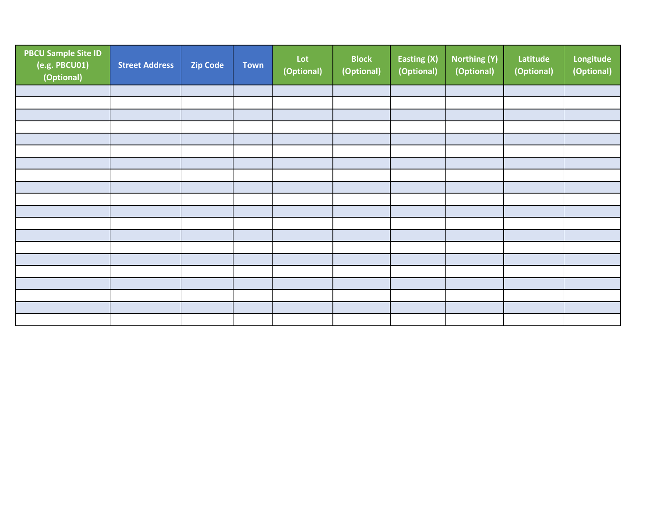| <b>PBCU Sample Site ID</b><br>(e.g. PBCU01)<br>(Optional) | <b>Street Address</b> | <b>Zip Code</b> | Town | Lot<br>(Optional) | <b>Block</b><br>(Optional) | Easting (X)<br>(Optional) | <b>Northing (Y)</b><br>(Optional) | Latitude<br>(Optional) | Longitude<br>(Optional) |
|-----------------------------------------------------------|-----------------------|-----------------|------|-------------------|----------------------------|---------------------------|-----------------------------------|------------------------|-------------------------|
|                                                           |                       |                 |      |                   |                            |                           |                                   |                        |                         |
|                                                           |                       |                 |      |                   |                            |                           |                                   |                        |                         |
|                                                           |                       |                 |      |                   |                            |                           |                                   |                        |                         |
|                                                           |                       |                 |      |                   |                            |                           |                                   |                        |                         |
|                                                           |                       |                 |      |                   |                            |                           |                                   |                        |                         |
|                                                           |                       |                 |      |                   |                            |                           |                                   |                        |                         |
|                                                           |                       |                 |      |                   |                            |                           |                                   |                        |                         |
|                                                           |                       |                 |      |                   |                            |                           |                                   |                        |                         |
|                                                           |                       |                 |      |                   |                            |                           |                                   |                        |                         |
|                                                           |                       |                 |      |                   |                            |                           |                                   |                        |                         |
|                                                           |                       |                 |      |                   |                            |                           |                                   |                        |                         |
|                                                           |                       |                 |      |                   |                            |                           |                                   |                        |                         |
|                                                           |                       |                 |      |                   |                            |                           |                                   |                        |                         |
|                                                           |                       |                 |      |                   |                            |                           |                                   |                        |                         |
|                                                           |                       |                 |      |                   |                            |                           |                                   |                        |                         |
|                                                           |                       |                 |      |                   |                            |                           |                                   |                        |                         |
|                                                           |                       |                 |      |                   |                            |                           |                                   |                        |                         |
|                                                           |                       |                 |      |                   |                            |                           |                                   |                        |                         |
|                                                           |                       |                 |      |                   |                            |                           |                                   |                        |                         |
|                                                           |                       |                 |      |                   |                            |                           |                                   |                        |                         |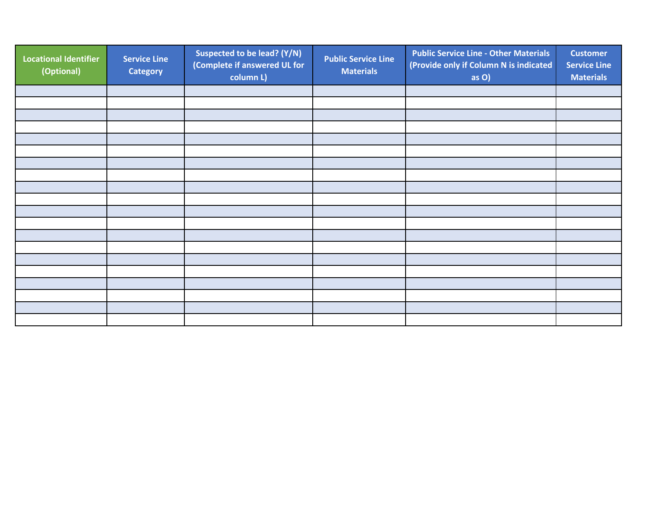| <b>Locational Identifier</b><br>(Optional) | <b>Service Line</b><br><b>Category</b> | Suspected to be lead? (Y/N)<br>(Complete if answered UL for<br>column L) | <b>Public Service Line</b><br><b>Materials</b> | <b>Public Service Line - Other Materials</b><br>(Provide only if Column N is indicated<br>as O) | <b>Customer</b><br><b>Service Line</b><br><b>Materials</b> |
|--------------------------------------------|----------------------------------------|--------------------------------------------------------------------------|------------------------------------------------|-------------------------------------------------------------------------------------------------|------------------------------------------------------------|
|                                            |                                        |                                                                          |                                                |                                                                                                 |                                                            |
|                                            |                                        |                                                                          |                                                |                                                                                                 |                                                            |
|                                            |                                        |                                                                          |                                                |                                                                                                 |                                                            |
|                                            |                                        |                                                                          |                                                |                                                                                                 |                                                            |
|                                            |                                        |                                                                          |                                                |                                                                                                 |                                                            |
|                                            |                                        |                                                                          |                                                |                                                                                                 |                                                            |
|                                            |                                        |                                                                          |                                                |                                                                                                 |                                                            |
|                                            |                                        |                                                                          |                                                |                                                                                                 |                                                            |
|                                            |                                        |                                                                          |                                                |                                                                                                 |                                                            |
|                                            |                                        |                                                                          |                                                |                                                                                                 |                                                            |
|                                            |                                        |                                                                          |                                                |                                                                                                 |                                                            |
|                                            |                                        |                                                                          |                                                |                                                                                                 |                                                            |
|                                            |                                        |                                                                          |                                                |                                                                                                 |                                                            |
|                                            |                                        |                                                                          |                                                |                                                                                                 |                                                            |
|                                            |                                        |                                                                          |                                                |                                                                                                 |                                                            |
|                                            |                                        |                                                                          |                                                |                                                                                                 |                                                            |
|                                            |                                        |                                                                          |                                                |                                                                                                 |                                                            |
|                                            |                                        |                                                                          |                                                |                                                                                                 |                                                            |
|                                            |                                        |                                                                          |                                                |                                                                                                 |                                                            |
|                                            |                                        |                                                                          |                                                |                                                                                                 |                                                            |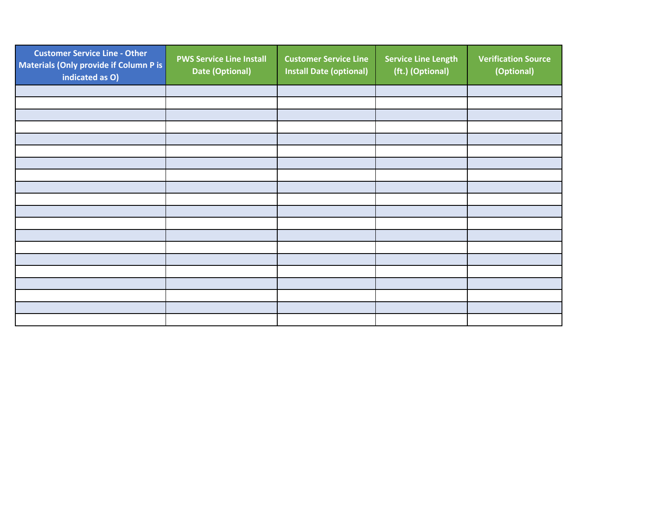| <b>Customer Service Line - Other</b><br>Materials (Only provide if Column P is<br>indicated as O) | <b>PWS Service Line Install</b><br>Date (Optional) | <b>Customer Service Line</b><br><b>Install Date (optional)</b> | <b>Service Line Length</b><br>(ft.) (Optional) | <b>Verification Source</b><br>(Optional) |
|---------------------------------------------------------------------------------------------------|----------------------------------------------------|----------------------------------------------------------------|------------------------------------------------|------------------------------------------|
|                                                                                                   |                                                    |                                                                |                                                |                                          |
|                                                                                                   |                                                    |                                                                |                                                |                                          |
|                                                                                                   |                                                    |                                                                |                                                |                                          |
|                                                                                                   |                                                    |                                                                |                                                |                                          |
|                                                                                                   |                                                    |                                                                |                                                |                                          |
|                                                                                                   |                                                    |                                                                |                                                |                                          |
|                                                                                                   |                                                    |                                                                |                                                |                                          |
|                                                                                                   |                                                    |                                                                |                                                |                                          |
|                                                                                                   |                                                    |                                                                |                                                |                                          |
|                                                                                                   |                                                    |                                                                |                                                |                                          |
|                                                                                                   |                                                    |                                                                |                                                |                                          |
|                                                                                                   |                                                    |                                                                |                                                |                                          |
|                                                                                                   |                                                    |                                                                |                                                |                                          |
|                                                                                                   |                                                    |                                                                |                                                |                                          |
|                                                                                                   |                                                    |                                                                |                                                |                                          |
|                                                                                                   |                                                    |                                                                |                                                |                                          |
|                                                                                                   |                                                    |                                                                |                                                |                                          |
|                                                                                                   |                                                    |                                                                |                                                |                                          |
|                                                                                                   |                                                    |                                                                |                                                |                                          |
|                                                                                                   |                                                    |                                                                |                                                |                                          |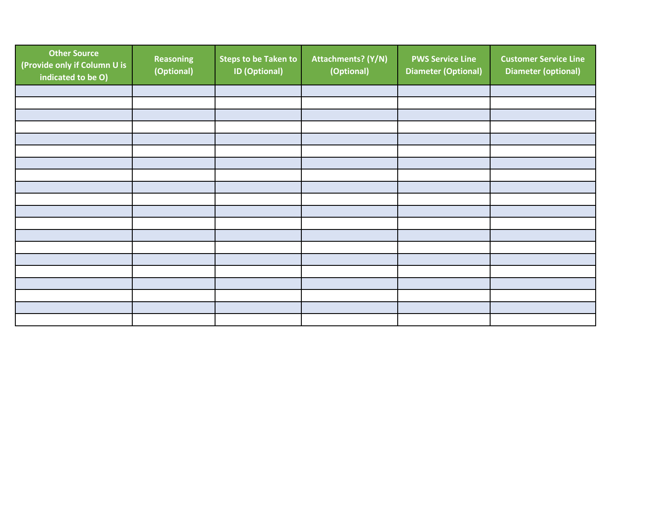| <b>Other Source</b><br>(Provide only if Column U is<br>indicated to be O) | <b>Reasoning</b><br>(Optional) | <b>Steps to be Taken to</b><br><b>ID (Optional)</b> | Attachments? (Y/N)<br>(Optional) | <b>PWS Service Line</b><br><b>Diameter (Optional)</b> | <b>Customer Service Line</b><br><b>Diameter (optional)</b> |
|---------------------------------------------------------------------------|--------------------------------|-----------------------------------------------------|----------------------------------|-------------------------------------------------------|------------------------------------------------------------|
|                                                                           |                                |                                                     |                                  |                                                       |                                                            |
|                                                                           |                                |                                                     |                                  |                                                       |                                                            |
|                                                                           |                                |                                                     |                                  |                                                       |                                                            |
|                                                                           |                                |                                                     |                                  |                                                       |                                                            |
|                                                                           |                                |                                                     |                                  |                                                       |                                                            |
|                                                                           |                                |                                                     |                                  |                                                       |                                                            |
|                                                                           |                                |                                                     |                                  |                                                       |                                                            |
|                                                                           |                                |                                                     |                                  |                                                       |                                                            |
|                                                                           |                                |                                                     |                                  |                                                       |                                                            |
|                                                                           |                                |                                                     |                                  |                                                       |                                                            |
|                                                                           |                                |                                                     |                                  |                                                       |                                                            |
|                                                                           |                                |                                                     |                                  |                                                       |                                                            |
|                                                                           |                                |                                                     |                                  |                                                       |                                                            |
|                                                                           |                                |                                                     |                                  |                                                       |                                                            |
|                                                                           |                                |                                                     |                                  |                                                       |                                                            |
|                                                                           |                                |                                                     |                                  |                                                       |                                                            |
|                                                                           |                                |                                                     |                                  |                                                       |                                                            |
|                                                                           |                                |                                                     |                                  |                                                       |                                                            |
|                                                                           |                                |                                                     |                                  |                                                       |                                                            |
|                                                                           |                                |                                                     |                                  |                                                       |                                                            |